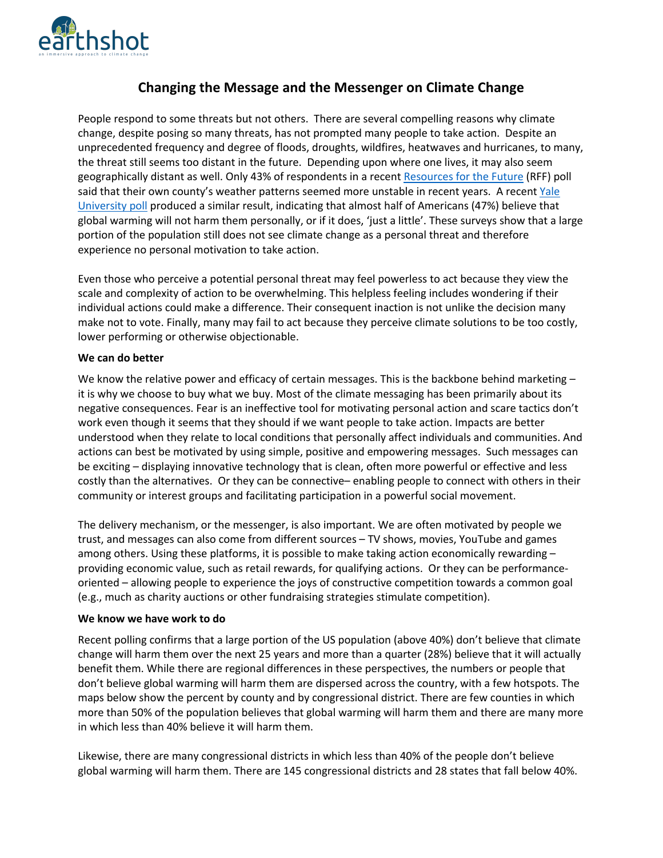

# **Changing the Message and the Messenger on Climate Change**

People respond to some threats but not others. There are several compelling reasons why climate change, despite posing so many threats, has not prompted many people to take action. Despite an unprecedented frequency and degree of floods, droughts, wildfires, heatwaves and hurricanes, to many, the threat still seems too distant in the future. Depending upon where one lives, it may also seem geographically distant as well. Only 43% of respondents in a recent Resources for the Future (RFF) poll said that their own county's weather patterns seemed more unstable in recent years. A recent Yale University poll produced a similar result, indicating that almost half of Americans (47%) believe that global warming will not harm them personally, or if it does, 'just a little'. These surveys show that a large portion of the population still does not see climate change as a personal threat and therefore experience no personal motivation to take action.

Even those who perceive a potential personal threat may feel powerless to act because they view the scale and complexity of action to be overwhelming. This helpless feeling includes wondering if their individual actions could make a difference. Their consequent inaction is not unlike the decision many make not to vote. Finally, many may fail to act because they perceive climate solutions to be too costly, lower performing or otherwise objectionable.

#### **We can do better**

We know the relative power and efficacy of certain messages. This is the backbone behind marketing it is why we choose to buy what we buy. Most of the climate messaging has been primarily about its negative consequences. Fear is an ineffective tool for motivating personal action and scare tactics don't work even though it seems that they should if we want people to take action. Impacts are better understood when they relate to local conditions that personally affect individuals and communities. And actions can best be motivated by using simple, positive and empowering messages. Such messages can be exciting – displaying innovative technology that is clean, often more powerful or effective and less costly than the alternatives. Or they can be connective– enabling people to connect with others in their community or interest groups and facilitating participation in a powerful social movement.

The delivery mechanism, or the messenger, is also important. We are often motivated by people we trust, and messages can also come from different sources – TV shows, movies, YouTube and games among others. Using these platforms, it is possible to make taking action economically rewarding – providing economic value, such as retail rewards, for qualifying actions. Or they can be performanceoriented – allowing people to experience the joys of constructive competition towards a common goal (e.g., much as charity auctions or other fundraising strategies stimulate competition).

### **We know we have work to do**

Recent polling confirms that a large portion of the US population (above 40%) don't believe that climate change will harm them over the next 25 years and more than a quarter (28%) believe that it will actually benefit them. While there are regional differences in these perspectives, the numbers or people that don't believe global warming will harm them are dispersed across the country, with a few hotspots. The maps below show the percent by county and by congressional district. There are few counties in which more than 50% of the population believes that global warming will harm them and there are many more in which less than 40% believe it will harm them.

Likewise, there are many congressional districts in which less than 40% of the people don't believe global warming will harm them. There are 145 congressional districts and 28 states that fall below 40%.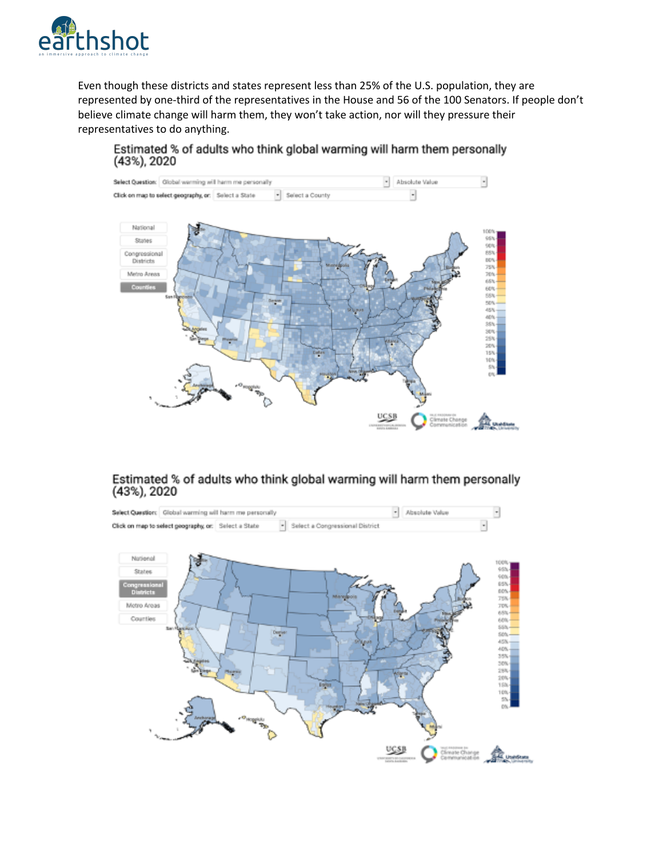

Even though these districts and states represent less than 25% of the U.S. population, they are represented by one-third of the representatives in the House and 56 of the 100 Senators. If people don't believe climate change will harm them, they won't take action, nor will they pressure their representatives to do anything.

# Estimated % of adults who think global warming will harm them personally (43%), 2020



# Estimated % of adults who think global warming will harm them personally (43%), 2020